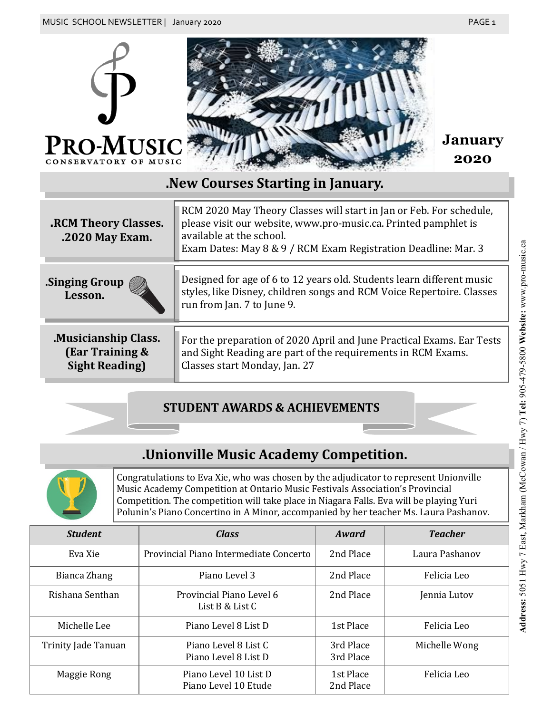



### **STUDENT AWARDS & ACHIEVEMENTS**

# **.Unionville Music Academy Competition.**



Congratulations to Eva Xie, who was chosen by the adjudicator to represent Unionville Music Academy Competition at Ontario Music Festivals Association's Provincial Competition. The competition will take place in Niagara Falls. Eva will be playing Yuri Polunin's Piano Concertino in A Minor, accompanied by her teacher Ms. Laura Pashanov.

| <b>Student</b>      | <b>Class</b>                                  | Award                  | <b>Teacher</b> |
|---------------------|-----------------------------------------------|------------------------|----------------|
| Eva Xie             | Provincial Piano Intermediate Concerto        | 2nd Place              | Laura Pashanov |
| Bianca Zhang        | Piano Level 3                                 | 2nd Place              | Felicia Leo    |
| Rishana Senthan     | Provincial Piano Level 6<br>List B & List C   | 2nd Place              | Jennia Lutov   |
| Michelle Lee        | Piano Level 8 List D                          | 1st Place              | Felicia Leo    |
| Trinity Jade Tanuan | Piano Level 8 List C<br>Piano Level 8 List D  | 3rd Place<br>3rd Place | Michelle Wong  |
| Maggie Rong         | Piano Level 10 List D<br>Piano Level 10 Etude | 1st Place<br>2nd Place | Felicia Leo    |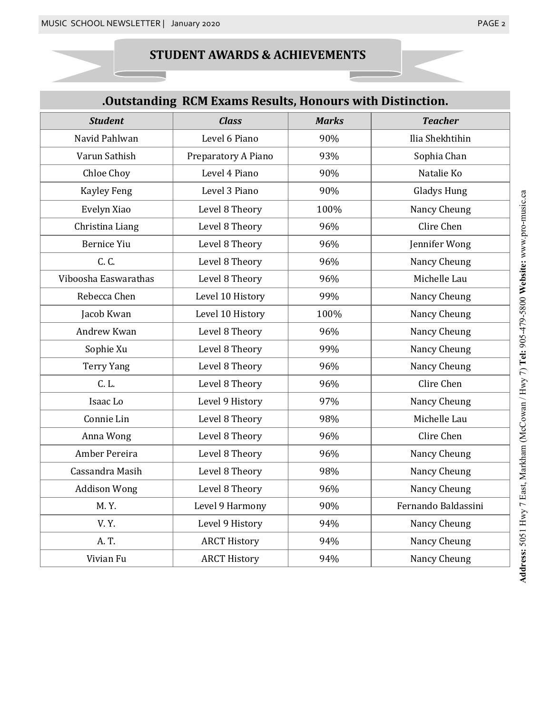#### **STUDENT AWARDS & ACHIEVEMENTS**

## **.Outstanding RCM Exams Results, Honours with Distinction.**

| <b>Student</b>       | <b>Class</b>        | <b>Marks</b> | <b>Teacher</b>      |
|----------------------|---------------------|--------------|---------------------|
| Navid Pahlwan        | Level 6 Piano       | 90%          | Ilia Shekhtihin     |
| Varun Sathish        | Preparatory A Piano | 93%          | Sophia Chan         |
| Chloe Choy           | Level 4 Piano       | 90%          | Natalie Ko          |
| <b>Kayley Feng</b>   | Level 3 Piano       | 90%          | <b>Gladys Hung</b>  |
| Evelyn Xiao          | Level 8 Theory      | 100%         | Nancy Cheung        |
| Christina Liang      | Level 8 Theory      | 96%          | Clire Chen          |
| <b>Bernice Yiu</b>   | Level 8 Theory      | 96%          | Jennifer Wong       |
| C. C.                | Level 8 Theory      | 96%          | Nancy Cheung        |
| Viboosha Easwarathas | Level 8 Theory      | 96%          | Michelle Lau        |
| Rebecca Chen         | Level 10 History    | 99%          | Nancy Cheung        |
| Jacob Kwan           | Level 10 History    | 100%         | Nancy Cheung        |
| Andrew Kwan          | Level 8 Theory      | 96%          | Nancy Cheung        |
| Sophie Xu            | Level 8 Theory      | 99%          | Nancy Cheung        |
| <b>Terry Yang</b>    | Level 8 Theory      | 96%          | Nancy Cheung        |
| C. L.                | Level 8 Theory      | 96%          | Clire Chen          |
| Isaac Lo             | Level 9 History     | 97%          | Nancy Cheung        |
| Connie Lin           | Level 8 Theory      | 98%          | Michelle Lau        |
| Anna Wong            | Level 8 Theory      | 96%          | Clire Chen          |
| Amber Pereira        | Level 8 Theory      | 96%          | Nancy Cheung        |
| Cassandra Masih      | Level 8 Theory      | 98%          | Nancy Cheung        |
| <b>Addison Wong</b>  | Level 8 Theory      | 96%          | Nancy Cheung        |
| M.Y.                 | Level 9 Harmony     | 90%          | Fernando Baldassini |
| <b>V.Y.</b>          | Level 9 History     | 94%          | Nancy Cheung        |
| A.T.                 | <b>ARCT History</b> | 94%          | Nancy Cheung        |
| Vivian Fu            | <b>ARCT History</b> | 94%          | Nancy Cheung        |